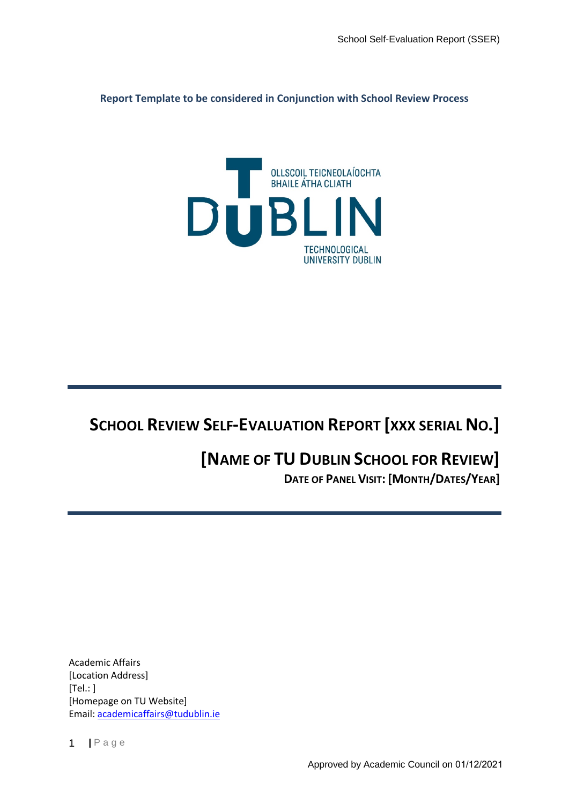**Report Template to be considered in Conjunction with School Review Process**



# **SCHOOL REVIEW SELF-EVALUATION REPORT [XXX SERIAL NO.]**

## **[NAME OF TU DUBLIN SCHOOL FOR REVIEW] DATE OF PANEL VISIT: [MONTH/DATES/YEAR]**

Academic Affairs [Location Address]  $[Tel: ]$ [Homepage on TU Website] Email: [academicaffairs@tudublin.ie](mailto:academicaffairs@tudublin.ie)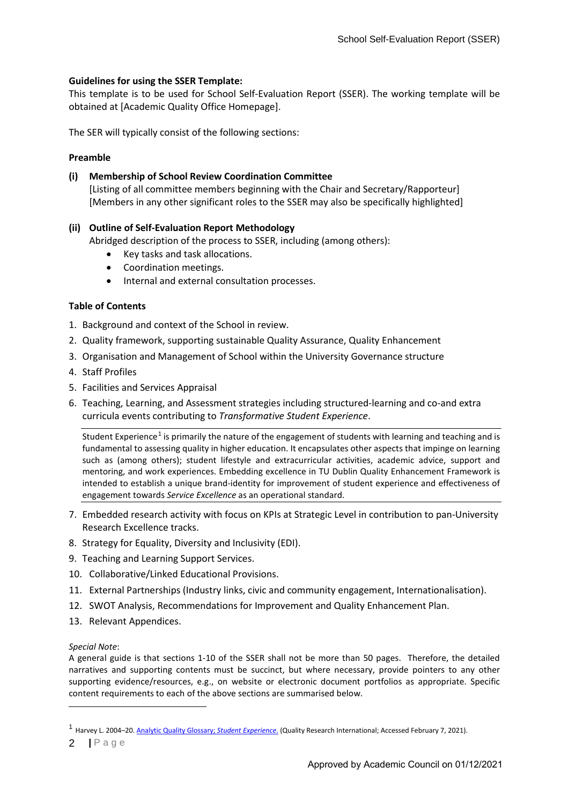## **Guidelines for using the SSER Template:**

This template is to be used for School Self-Evaluation Report (SSER). The working template will be obtained at [Academic Quality Office Homepage].

The SER will typically consist of the following sections:

## **Preamble**

## **(i) Membership of School Review Coordination Committee** [Listing of all committee members beginning with the Chair and Secretary/Rapporteur] [Members in any other significant roles to the SSER may also be specifically highlighted]

## **(ii) Outline of Self-Evaluation Report Methodology**

Abridged description of the process to SSER, including (among others):

- Key tasks and task allocations.
- Coordination meetings.
- Internal and external consultation processes.

## **Table of Contents**

- 1. Background and context of the School in review.
- 2. Quality framework, supporting sustainable Quality Assurance, Quality Enhancement
- 3. Organisation and Management of School within the University Governance structure
- 4. Staff Profiles
- 5. Facilities and Services Appraisal
- 6. Teaching, Learning, and Assessment strategies including structured-learning and co-and extra curricula events contributing to *Transformative Student Experience*.

Student Experience<sup>[1](#page-1-0)</sup> is primarily the nature of the engagement of students with learning and teaching and is fundamental to assessing quality in higher education. It encapsulates other aspects that impinge on learning such as (among others); student lifestyle and extracurricular activities, academic advice, support and mentoring, and work experiences. Embedding excellence in TU Dublin Quality Enhancement Framework is intended to establish a unique brand-identity for improvement of student experience and effectiveness of engagement towards *Service Excellence* as an operational standard.

- 7. Embedded research activity with focus on KPIs at Strategic Level in contribution to pan-University Research Excellence tracks.
- 8. Strategy for Equality, Diversity and Inclusivity (EDI).
- 9. Teaching and Learning Support Services.
- 10. Collaborative/Linked Educational Provisions.
- 11. External Partnerships (Industry links, civic and community engagement, Internationalisation).
- 12. SWOT Analysis, Recommendations for Improvement and Quality Enhancement Plan.
- 13. Relevant Appendices.

#### *Special Note*:

A general guide is that sections 1-10 of the SSER shall not be more than 50 pages. Therefore, the detailed narratives and supporting contents must be succinct, but where necessary, provide pointers to any other supporting evidence/resources, e.g., on website or electronic document portfolios as appropriate. Specific content requirements to each of the above sections are summarised below.

<span id="page-1-0"></span><sup>1</sup> Harvey L. 2004–20[. Analytic Quality Glossary;](http://www.qualityresearchinternational.com/glossary/studentexperience.htm) *Student Experience*. (Quality Research International; Accessed February 7, 2021).

**<sup>|</sup>** Page 2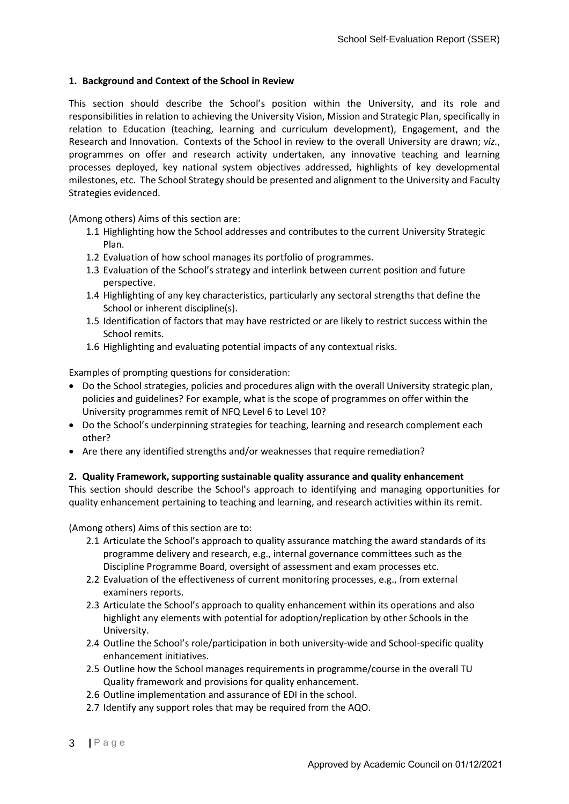## **1. Background and Context of the School in Review**

This section should describe the School's position within the University, and its role and responsibilities in relation to achieving the University Vision, Mission and Strategic Plan, specifically in relation to Education (teaching, learning and curriculum development), Engagement, and the Research and Innovation. Contexts of the School in review to the overall University are drawn; *viz.*, programmes on offer and research activity undertaken, any innovative teaching and learning processes deployed, key national system objectives addressed, highlights of key developmental milestones, etc. The School Strategy should be presented and alignment to the University and Faculty Strategies evidenced.

(Among others) Aims of this section are:

- 1.1 Highlighting how the School addresses and contributes to the current University Strategic Plan.
- 1.2 Evaluation of how school manages its portfolio of programmes.
- 1.3 Evaluation of the School's strategy and interlink between current position and future perspective.
- 1.4 Highlighting of any key characteristics, particularly any sectoral strengths that define the School or inherent discipline(s).
- 1.5 Identification of factors that may have restricted or are likely to restrict success within the School remits.
- 1.6 Highlighting and evaluating potential impacts of any contextual risks.

Examples of prompting questions for consideration:

- Do the School strategies, policies and procedures align with the overall University strategic plan, policies and guidelines? For example, what is the scope of programmes on offer within the University programmes remit of NFQ Level 6 to Level 10?
- Do the School's underpinning strategies for teaching, learning and research complement each other?
- Are there any identified strengths and/or weaknesses that require remediation?

## **2. Quality Framework, supporting sustainable quality assurance and quality enhancement**

This section should describe the School's approach to identifying and managing opportunities for quality enhancement pertaining to teaching and learning, and research activities within its remit.

(Among others) Aims of this section are to:

- 2.1 Articulate the School's approach to quality assurance matching the award standards of its programme delivery and research, e.g., internal governance committees such as the Discipline Programme Board, oversight of assessment and exam processes etc.
- 2.2 Evaluation of the effectiveness of current monitoring processes, e.g., from external examiners reports.
- 2.3 Articulate the School's approach to quality enhancement within its operations and also highlight any elements with potential for adoption/replication by other Schools in the University.
- 2.4 Outline the School's role/participation in both university-wide and School-specific quality enhancement initiatives.
- 2.5 Outline how the School manages requirements in programme/course in the overall TU Quality framework and provisions for quality enhancement.
- 2.6 Outline implementation and assurance of EDI in the school.
- 2.7 Identify any support roles that may be required from the AQO.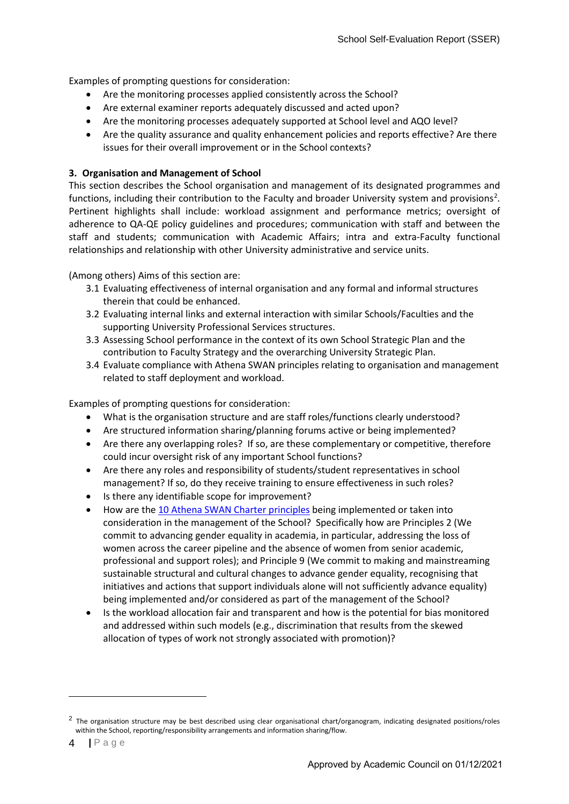Examples of prompting questions for consideration:

- Are the monitoring processes applied consistently across the School?
- Are external examiner reports adequately discussed and acted upon?
- Are the monitoring processes adequately supported at School level and AQO level?
- Are the quality assurance and quality enhancement policies and reports effective? Are there issues for their overall improvement or in the School contexts?

## **3. Organisation and Management of School**

This section describes the School organisation and management of its designated programmes and functions, including their contribution to the Faculty and broader University system and provisions<sup>[2](#page-3-0)</sup>. Pertinent highlights shall include: workload assignment and performance metrics; oversight of adherence to QA-QE policy guidelines and procedures; communication with staff and between the staff and students; communication with Academic Affairs; intra and extra-Faculty functional relationships and relationship with other University administrative and service units.

(Among others) Aims of this section are:

- 3.1 Evaluating effectiveness of internal organisation and any formal and informal structures therein that could be enhanced.
- 3.2 Evaluating internal links and external interaction with similar Schools/Faculties and the supporting University Professional Services structures.
- 3.3 Assessing School performance in the context of its own School Strategic Plan and the contribution to Faculty Strategy and the overarching University Strategic Plan.
- 3.4 Evaluate compliance with Athena SWAN principles relating to organisation and management related to staff deployment and workload.

Examples of prompting questions for consideration:

- What is the organisation structure and are staff roles/functions clearly understood?
- Are structured information sharing/planning forums active or being implemented?
- Are there any overlapping roles? If so, are these complementary or competitive, therefore could incur oversight risk of any important School functions?
- Are there any roles and responsibility of students/student representatives in school management? If so, do they receive training to ensure effectiveness in such roles?
- Is there any identifiable scope for improvement?
- How are th[e 10 Athena SWAN Charter principles](https://www.tudublin.ie/explore/about-the-university/equality-and-diversity/athena-swan/) being implemented or taken into consideration in the management of the School? Specifically how are Principles 2 (We commit to advancing gender equality in academia, in particular, addressing the loss of women across the career pipeline and the absence of women from senior academic, professional and support roles); and Principle 9 (We commit to making and mainstreaming sustainable structural and cultural changes to advance gender equality, recognising that initiatives and actions that support individuals alone will not sufficiently advance equality) being implemented and/or considered as part of the management of the School?
- Is the workload allocation fair and transparent and how is the potential for bias monitored and addressed within such models (e.g., discrimination that results from the skewed allocation of types of work not strongly associated with promotion)?

<span id="page-3-0"></span> $<sup>2</sup>$  The organisation structure may be best described using clear organisational chart/organogram, indicating designated positions/roles</sup> within the School, reporting/responsibility arrangements and information sharing/flow.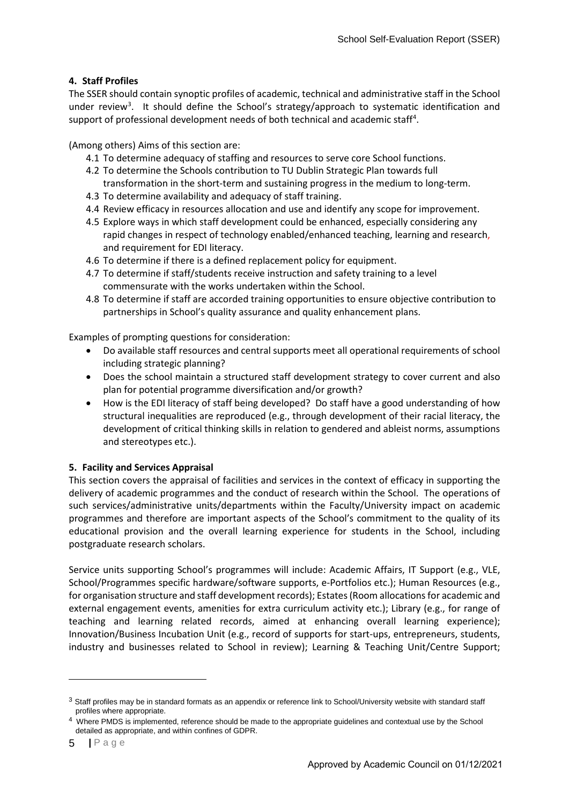## **4. Staff Profiles**

The SSER should contain synoptic profiles of academic, technical and administrative staff in the School under review<sup>[3](#page-4-0)</sup>. It should define the School's strategy/approach to systematic identification and support of professional development needs of both technical and academic staff<sup>[4](#page-4-1)</sup>.

(Among others) Aims of this section are:

- 4.1 To determine adequacy of staffing and resources to serve core School functions.
- 4.2 To determine the Schools contribution to TU Dublin Strategic Plan towards full transformation in the short-term and sustaining progress in the medium to long-term.
- 4.3 To determine availability and adequacy of staff training.
- 4.4 Review efficacy in resources allocation and use and identify any scope for improvement.
- 4.5 Explore ways in which staff development could be enhanced, especially considering any rapid changes in respect of technology enabled/enhanced teaching, learning and research, and requirement for EDI literacy.
- 4.6 To determine if there is a defined replacement policy for equipment.
- 4.7 To determine if staff/students receive instruction and safety training to a level commensurate with the works undertaken within the School.
- 4.8 To determine if staff are accorded training opportunities to ensure objective contribution to partnerships in School's quality assurance and quality enhancement plans.

Examples of prompting questions for consideration:

- Do available staff resources and central supports meet all operational requirements of school including strategic planning?
- Does the school maintain a structured staff development strategy to cover current and also plan for potential programme diversification and/or growth?
- How is the EDI literacy of staff being developed? Do staff have a good understanding of how structural inequalities are reproduced (e.g., through development of their racial literacy, the development of critical thinking skills in relation to gendered and ableist norms, assumptions and stereotypes etc.).

## **5. Facility and Services Appraisal**

This section covers the appraisal of facilities and services in the context of efficacy in supporting the delivery of academic programmes and the conduct of research within the School. The operations of such services/administrative units/departments within the Faculty/University impact on academic programmes and therefore are important aspects of the School's commitment to the quality of its educational provision and the overall learning experience for students in the School, including postgraduate research scholars.

Service units supporting School's programmes will include: Academic Affairs, IT Support (e.g., VLE, School/Programmes specific hardware/software supports, e-Portfolios etc.); Human Resources (e.g., for organisation structure and staff development records); Estates (Room allocations for academic and external engagement events, amenities for extra curriculum activity etc.); Library (e.g., for range of teaching and learning related records, aimed at enhancing overall learning experience); Innovation/Business Incubation Unit (e.g., record of supports for start-ups, entrepreneurs, students, industry and businesses related to School in review); Learning & Teaching Unit/Centre Support;

<span id="page-4-0"></span> $3$  Staff profiles may be in standard formats as an appendix or reference link to School/University website with standard staff profiles where appropriate.

<span id="page-4-1"></span><sup>4</sup> Where PMDS is implemented, reference should be made to the appropriate guidelines and contextual use by the School detailed as appropriate, and within confines of GDPR.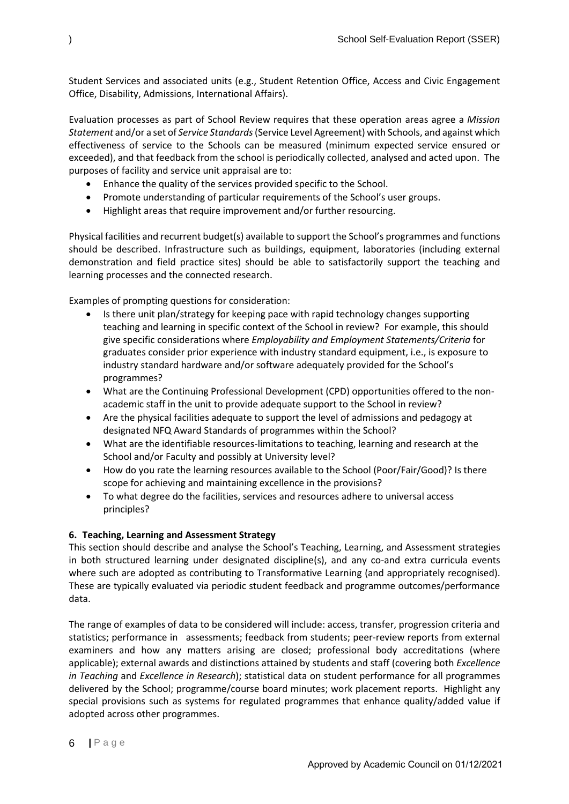Student Services and associated units (e.g., Student Retention Office, Access and Civic Engagement Office, Disability, Admissions, International Affairs).

Evaluation processes as part of School Review requires that these operation areas agree a *Mission Statement* and/or a set of *Service Standards*(Service Level Agreement) with Schools, and against which effectiveness of service to the Schools can be measured (minimum expected service ensured or exceeded), and that feedback from the school is periodically collected, analysed and acted upon. The purposes of facility and service unit appraisal are to:

- Enhance the quality of the services provided specific to the School.
- Promote understanding of particular requirements of the School's user groups.
- Highlight areas that require improvement and/or further resourcing.

Physical facilities and recurrent budget(s) available to support the School's programmes and functions should be described. Infrastructure such as buildings, equipment, laboratories (including external demonstration and field practice sites) should be able to satisfactorily support the teaching and learning processes and the connected research.

Examples of prompting questions for consideration:

- Is there unit plan/strategy for keeping pace with rapid technology changes supporting teaching and learning in specific context of the School in review? For example, this should give specific considerations where *Employability and Employment Statements/Criteria* for graduates consider prior experience with industry standard equipment, i.e., is exposure to industry standard hardware and/or software adequately provided for the School's programmes?
- What are the Continuing Professional Development (CPD) opportunities offered to the nonacademic staff in the unit to provide adequate support to the School in review?
- Are the physical facilities adequate to support the level of admissions and pedagogy at designated NFQ Award Standards of programmes within the School?
- What are the identifiable resources-limitations to teaching, learning and research at the School and/or Faculty and possibly at University level?
- How do you rate the learning resources available to the School (Poor/Fair/Good)? Is there scope for achieving and maintaining excellence in the provisions?
- To what degree do the facilities, services and resources adhere to universal access principles?

## **6. Teaching, Learning and Assessment Strategy**

This section should describe and analyse the School's Teaching, Learning, and Assessment strategies in both structured learning under designated discipline(s), and any co-and extra curricula events where such are adopted as contributing to Transformative Learning (and appropriately recognised). These are typically evaluated via periodic student feedback and programme outcomes/performance data.

The range of examples of data to be considered will include: access, transfer, progression criteria and statistics; performance in assessments; feedback from students; peer-review reports from external examiners and how any matters arising are closed; professional body accreditations (where applicable); external awards and distinctions attained by students and staff (covering both *Excellence in Teaching* and *Excellence in Research*); statistical data on student performance for all programmes delivered by the School; programme/course board minutes; work placement reports. Highlight any special provisions such as systems for regulated programmes that enhance quality/added value if adopted across other programmes.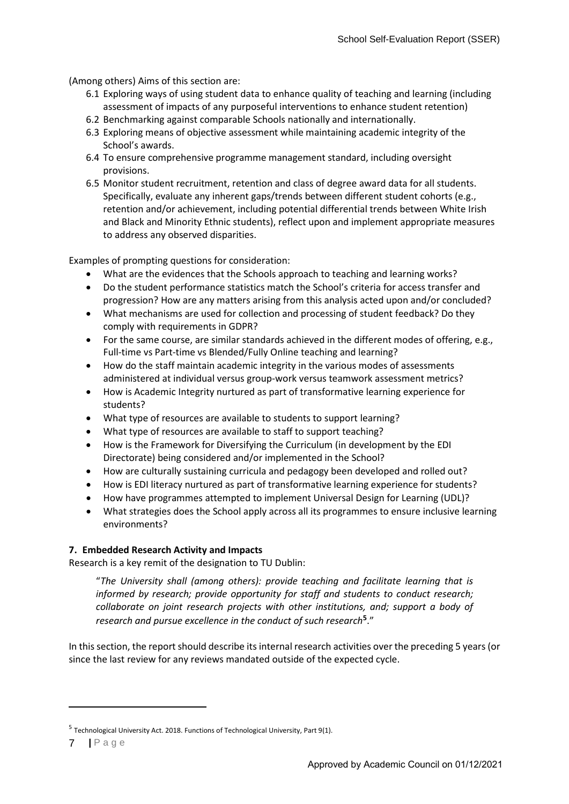(Among others) Aims of this section are:

- 6.1 Exploring ways of using student data to enhance quality of teaching and learning (including assessment of impacts of any purposeful interventions to enhance student retention)
- 6.2 Benchmarking against comparable Schools nationally and internationally.
- 6.3 Exploring means of objective assessment while maintaining academic integrity of the School's awards.
- 6.4 To ensure comprehensive programme management standard, including oversight provisions.
- 6.5 Monitor student recruitment, retention and class of degree award data for all students. Specifically, evaluate any inherent gaps/trends between different student cohorts (e.g., retention and/or achievement, including potential differential trends between White Irish and Black and Minority Ethnic students), reflect upon and implement appropriate measures to address any observed disparities.

Examples of prompting questions for consideration:

- What are the evidences that the Schools approach to teaching and learning works?
- Do the student performance statistics match the School's criteria for access transfer and progression? How are any matters arising from this analysis acted upon and/or concluded?
- What mechanisms are used for collection and processing of student feedback? Do they comply with requirements in GDPR?
- For the same course, are similar standards achieved in the different modes of offering, e.g., Full-time vs Part-time vs Blended/Fully Online teaching and learning?
- How do the staff maintain academic integrity in the various modes of assessments administered at individual versus group-work versus teamwork assessment metrics?
- How is Academic Integrity nurtured as part of transformative learning experience for students?
- What type of resources are available to students to support learning?
- What type of resources are available to staff to support teaching?
- How is the Framework for Diversifying the Curriculum (in development by the EDI Directorate) being considered and/or implemented in the School?
- How are culturally sustaining curricula and pedagogy been developed and rolled out?
- How is EDI literacy nurtured as part of transformative learning experience for students?
- How have programmes attempted to implement Universal Design for Learning (UDL)?
- What strategies does the School apply across all its programmes to ensure inclusive learning environments?

## **7. Embedded Research Activity and Impacts**

Research is a key remit of the designation to TU Dublin:

"*The University shall (among others): provide teaching and facilitate learning that is informed by research; provide opportunity for staff and students to conduct research; collaborate on joint research projects with other institutions, and; support a body of research and pursue excellence in the conduct of such research***[5](#page-6-0)**."

In this section, the report should describe its internal research activities over the preceding 5 years (or since the last review for any reviews mandated outside of the expected cycle.

<span id="page-6-0"></span><sup>5</sup> Technological University Act. 2018. Functions of Technological University, Part 9(1).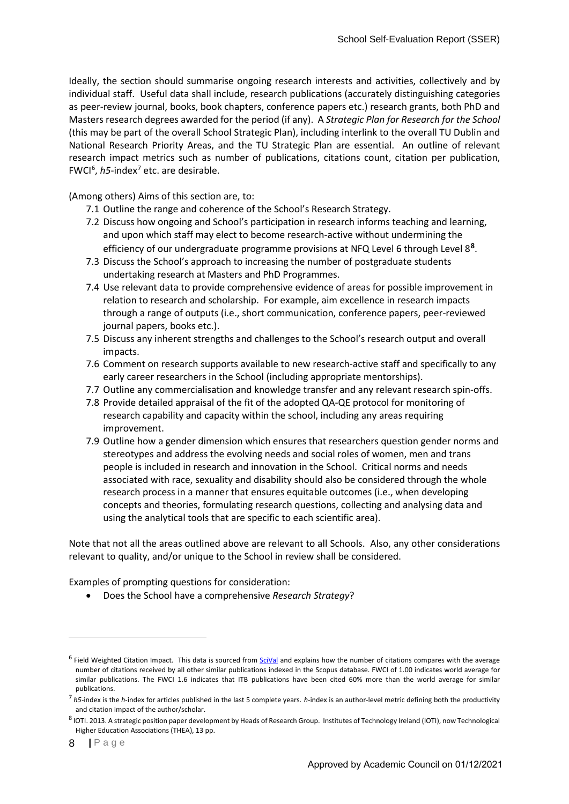Ideally, the section should summarise ongoing research interests and activities, collectively and by individual staff. Useful data shall include, research publications (accurately distinguishing categories as peer-review journal, books, book chapters, conference papers etc.) research grants, both PhD and Masters research degrees awarded for the period (if any). A *Strategic Plan for Research for the School* (this may be part of the overall School Strategic Plan), including interlink to the overall TU Dublin and National Research Priority Areas, and the TU Strategic Plan are essential. An outline of relevant research impact metrics such as number of publications, citations count, citation per publication, FWCI<sup>[6](#page-7-0)</sup>, h5-index<sup>[7](#page-7-1)</sup> etc. are desirable.

(Among others) Aims of this section are, to:

- 7.1 Outline the range and coherence of the School's Research Strategy.
- 7.2 Discuss how ongoing and School's participation in research informs teaching and learning, and upon which staff may elect to become research-active without undermining the efficiency of our undergraduate programme provisions at NFQ Level 6 through Level 8**[8](#page-7-2)**.
- 7.3 Discuss the School's approach to increasing the number of postgraduate students undertaking research at Masters and PhD Programmes.
- 7.4 Use relevant data to provide comprehensive evidence of areas for possible improvement in relation to research and scholarship. For example, aim excellence in research impacts through a range of outputs (i.e., short communication, conference papers, peer-reviewed journal papers, books etc.).
- 7.5 Discuss any inherent strengths and challenges to the School's research output and overall impacts.
- 7.6 Comment on research supports available to new research-active staff and specifically to any early career researchers in the School (including appropriate mentorships).
- 7.7 Outline any commercialisation and knowledge transfer and any relevant research spin-offs.
- 7.8 Provide detailed appraisal of the fit of the adopted QA-QE protocol for monitoring of research capability and capacity within the school, including any areas requiring improvement.
- 7.9 Outline how a gender dimension which ensures that researchers question gender norms and stereotypes and address the evolving needs and social roles of women, men and trans people is included in research and innovation in the School. Critical norms and needs associated with race, sexuality and disability should also be considered through the whole research process in a manner that ensures equitable outcomes (i.e., when developing concepts and theories, formulating research questions, collecting and analysing data and using the analytical tools that are specific to each scientific area).

Note that not all the areas outlined above are relevant to all Schools. Also, any other considerations relevant to quality, and/or unique to the School in review shall be considered.

Examples of prompting questions for consideration:

• Does the School have a comprehensive *Research Strategy*?

<span id="page-7-0"></span> $6$  Field Weighted Citation Impact. This data is sourced from [SciVal](https://www.elsevier.com/solutions/scival) and explains how the number of citations compares with the average number of citations received by all other similar publications indexed in the Scopus database. FWCI of 1.00 indicates world average for similar publications. The FWCI 1.6 indicates that ITB publications have been cited 60% more than the world average for similar publications.

<span id="page-7-1"></span><sup>7</sup> *h5*-index is the *h*-index for articles published in the last 5 complete years. *h*-index is an author-level metric defining both the productivity and citation impact of the author/scholar.

<span id="page-7-2"></span><sup>8</sup> IOTI. 2013. A strategic position paper development by Heads of Research Group. Institutes of Technology Ireland (IOTI), now Technological Higher Education Associations (THEA), 13 pp.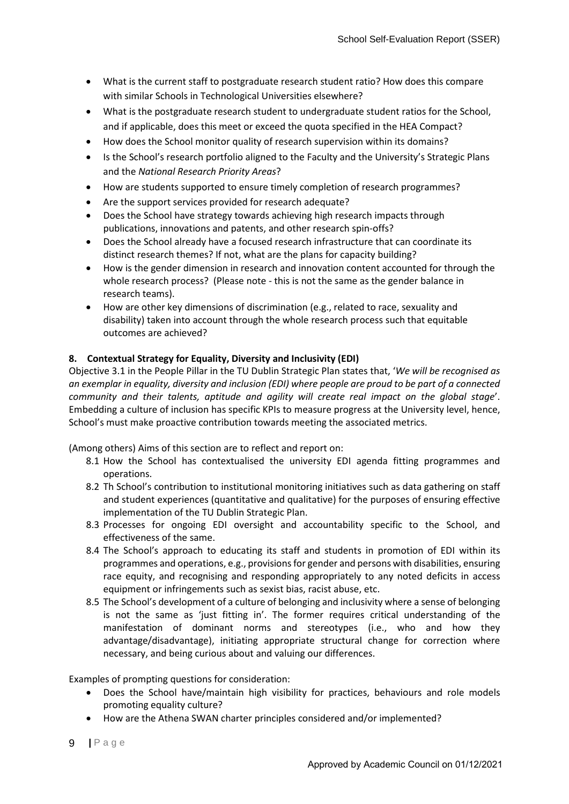- What is the current staff to postgraduate research student ratio? How does this compare with similar Schools in Technological Universities elsewhere?
- What is the postgraduate research student to undergraduate student ratios for the School, and if applicable, does this meet or exceed the quota specified in the HEA Compact?
- How does the School monitor quality of research supervision within its domains?
- Is the School's research portfolio aligned to the Faculty and the University's Strategic Plans and the *National Research Priority Areas*?
- How are students supported to ensure timely completion of research programmes?
- Are the support services provided for research adequate?
- Does the School have strategy towards achieving high research impacts through publications, innovations and patents, and other research spin-offs?
- Does the School already have a focused research infrastructure that can coordinate its distinct research themes? If not, what are the plans for capacity building?
- How is the gender dimension in research and innovation content accounted for through the whole research process? (Please note - this is not the same as the gender balance in research teams).
- How are other key dimensions of discrimination (e.g., related to race, sexuality and disability) taken into account through the whole research process such that equitable outcomes are achieved?

## **8. Contextual Strategy for Equality, Diversity and Inclusivity (EDI)**

Objective 3.1 in the People Pillar in the TU Dublin Strategic Plan states that, '*We will be recognised as an exemplar in equality, diversity and inclusion (EDI) where people are proud to be part of a connected community and their talents, aptitude and agility will create real impact on the global stage*'. Embedding a culture of inclusion has specific KPIs to measure progress at the University level, hence, School's must make proactive contribution towards meeting the associated metrics.

(Among others) Aims of this section are to reflect and report on:

- 8.1 How the School has contextualised the university EDI agenda fitting programmes and operations.
- 8.2 Th School's contribution to institutional monitoring initiatives such as data gathering on staff and student experiences (quantitative and qualitative) for the purposes of ensuring effective implementation of the TU Dublin Strategic Plan.
- 8.3 Processes for ongoing EDI oversight and accountability specific to the School, and effectiveness of the same.
- 8.4 The School's approach to educating its staff and students in promotion of EDI within its programmes and operations, e.g., provisions for gender and persons with disabilities, ensuring race equity, and recognising and responding appropriately to any noted deficits in access equipment or infringements such as sexist bias, racist abuse, etc.
- 8.5 The School's development of a culture of belonging and inclusivity where a sense of belonging is not the same as 'just fitting in'. The former requires critical understanding of the manifestation of dominant norms and stereotypes (i.e., who and how they advantage/disadvantage), initiating appropriate structural change for correction where necessary, and being curious about and valuing our differences.

Examples of prompting questions for consideration:

- Does the School have/maintain high visibility for practices, behaviours and role models promoting equality culture?
- How are the Athena SWAN charter principles considered and/or implemented?
- **|** Page 9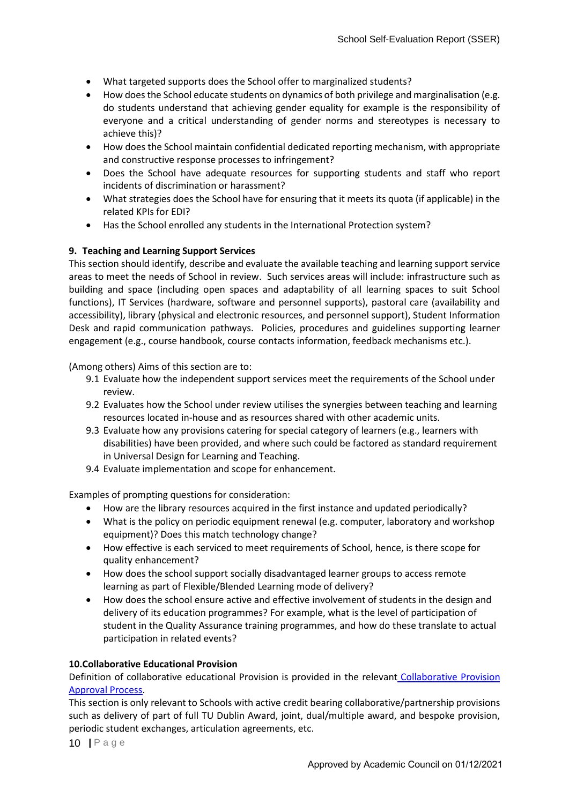- What targeted supports does the School offer to marginalized students?
- How does the School educate students on dynamics of both privilege and marginalisation (e.g. do students understand that achieving gender equality for example is the responsibility of everyone and a critical understanding of gender norms and stereotypes is necessary to achieve this)?
- How does the School maintain confidential dedicated reporting mechanism, with appropriate and constructive response processes to infringement?
- Does the School have adequate resources for supporting students and staff who report incidents of discrimination or harassment?
- What strategies does the School have for ensuring that it meets its quota (if applicable) in the related KPIs for EDI?
- Has the School enrolled any students in the International Protection system?

## **9. Teaching and Learning Support Services**

This section should identify, describe and evaluate the available teaching and learning support service areas to meet the needs of School in review. Such services areas will include: infrastructure such as building and space (including open spaces and adaptability of all learning spaces to suit School functions), IT Services (hardware, software and personnel supports), pastoral care (availability and accessibility), library (physical and electronic resources, and personnel support), Student Information Desk and rapid communication pathways. Policies, procedures and guidelines supporting learner engagement (e.g., course handbook, course contacts information, feedback mechanisms etc.).

(Among others) Aims of this section are to:

- 9.1 Evaluate how the independent support services meet the requirements of the School under review.
- 9.2 Evaluates how the School under review utilises the synergies between teaching and learning resources located in-house and as resources shared with other academic units.
- 9.3 Evaluate how any provisions catering for special category of learners (e.g., learners with disabilities) have been provided, and where such could be factored as standard requirement in Universal Design for Learning and Teaching.
- 9.4 Evaluate implementation and scope for enhancement.

Examples of prompting questions for consideration:

- How are the library resources acquired in the first instance and updated periodically?
- What is the policy on periodic equipment renewal (e.g. computer, laboratory and workshop equipment)? Does this match technology change?
- How effective is each serviced to meet requirements of School, hence, is there scope for quality enhancement?
- How does the school support socially disadvantaged learner groups to access remote learning as part of Flexible/Blended Learning mode of delivery?
- How does the school ensure active and effective involvement of students in the design and delivery of its education programmes? For example, what is the level of participation of student in the Quality Assurance training programmes, and how do these translate to actual participation in related events?

## **10.Collaborative Educational Provision**

Definition of collaborative educational Provision is provided in the relevant Collaborative Provision Approval Process.

This section is only relevant to Schools with active credit bearing collaborative/partnership provisions such as delivery of part of full TU Dublin Award, joint, dual/multiple award, and bespoke provision, periodic student exchanges, articulation agreements, etc.

**|** Page 10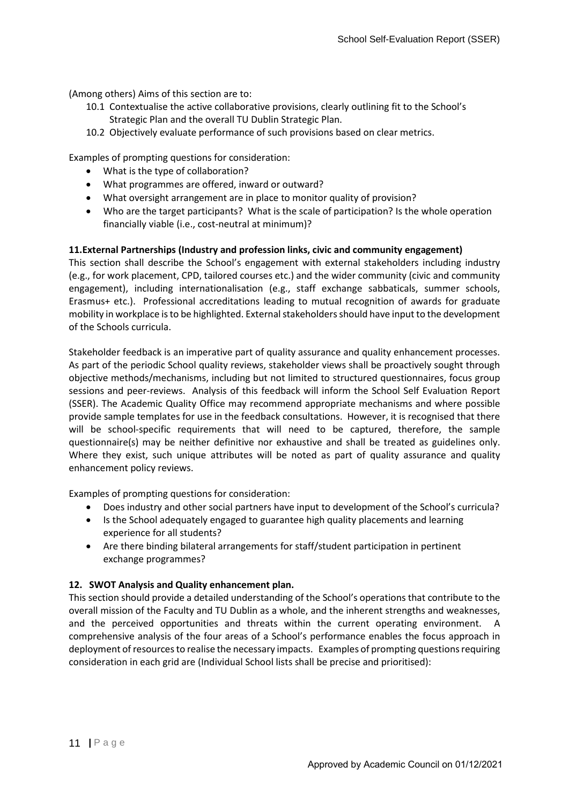(Among others) Aims of this section are to:

- 10.1 Contextualise the active collaborative provisions, clearly outlining fit to the School's Strategic Plan and the overall TU Dublin Strategic Plan.
- 10.2 Objectively evaluate performance of such provisions based on clear metrics.

Examples of prompting questions for consideration:

- What is the type of collaboration?
- What programmes are offered, inward or outward?
- What oversight arrangement are in place to monitor quality of provision?
- Who are the target participants? What is the scale of participation? Is the whole operation financially viable (i.e., cost-neutral at minimum)?

## **11.External Partnerships (Industry and profession links, civic and community engagement)**

This section shall describe the School's engagement with external stakeholders including industry (e.g., for work placement, CPD, tailored courses etc.) and the wider community (civic and community engagement), including internationalisation (e.g., staff exchange sabbaticals, summer schools, Erasmus+ etc.). Professional accreditations leading to mutual recognition of awards for graduate mobility in workplace is to be highlighted. External stakeholders should have input to the development of the Schools curricula.

Stakeholder feedback is an imperative part of quality assurance and quality enhancement processes. As part of the periodic School quality reviews, stakeholder views shall be proactively sought through objective methods/mechanisms, including but not limited to structured questionnaires, focus group sessions and peer-reviews. Analysis of this feedback will inform the School Self Evaluation Report (SSER). The Academic Quality Office may recommend appropriate mechanisms and where possible provide sample templates for use in the feedback consultations. However, it is recognised that there will be school-specific requirements that will need to be captured, therefore, the sample questionnaire(s) may be neither definitive nor exhaustive and shall be treated as guidelines only. Where they exist, such unique attributes will be noted as part of quality assurance and quality enhancement policy reviews.

Examples of prompting questions for consideration:

- Does industry and other social partners have input to development of the School's curricula?
- Is the School adequately engaged to guarantee high quality placements and learning experience for all students?
- Are there binding bilateral arrangements for staff/student participation in pertinent exchange programmes?

## **12. SWOT Analysis and Quality enhancement plan.**

This section should provide a detailed understanding of the School's operations that contribute to the overall mission of the Faculty and TU Dublin as a whole, and the inherent strengths and weaknesses, and the perceived opportunities and threats within the current operating environment. A comprehensive analysis of the four areas of a School's performance enables the focus approach in deployment of resources to realise the necessary impacts. Examples of prompting questions requiring consideration in each grid are (Individual School lists shall be precise and prioritised):